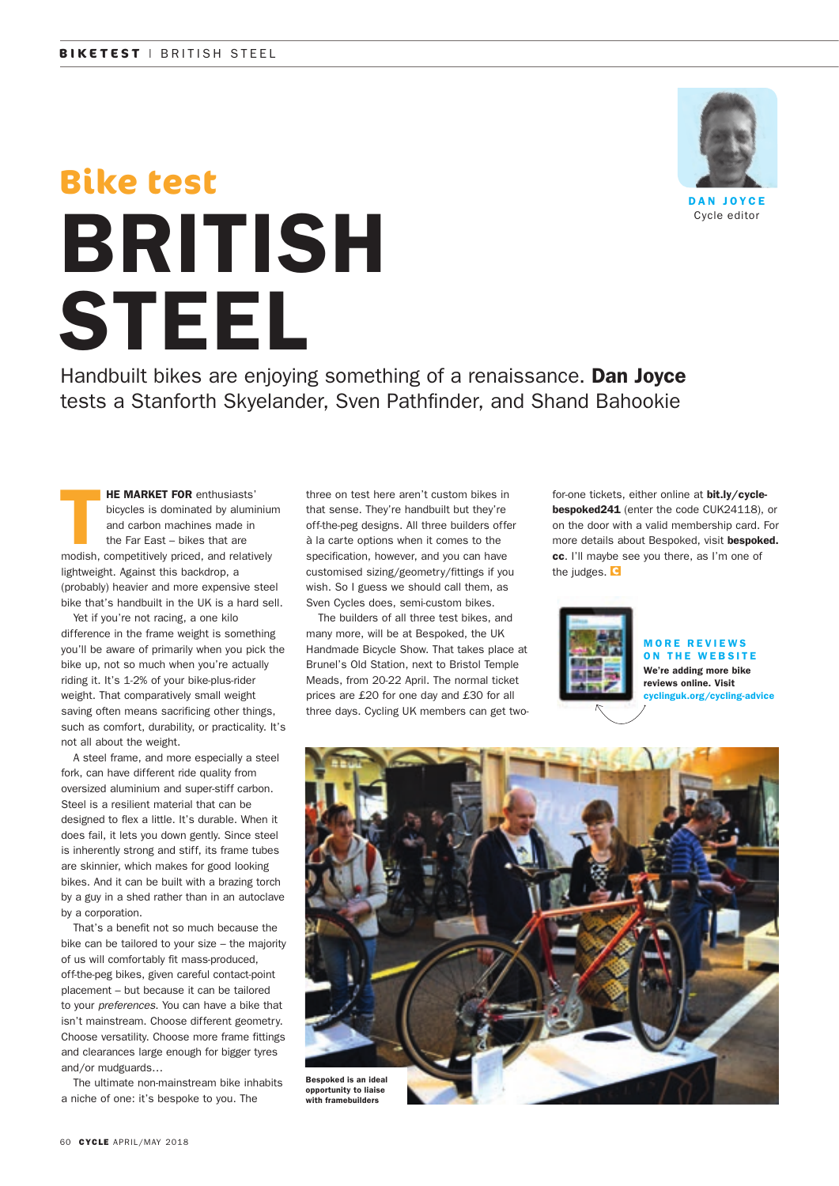

DAN JOYCE Cycle editor

# BRITISH STEEL **Bike test**

Handbuilt bikes are enjoying something of a renaissance. **Dan Joyce** tests a Stanforth Skyelander, Sven Pathfinder, and Shand Bahookie

HE MARKET FOR enthusiasts' bicycles is dominated by aluminium and carbon machines made in the Far East – bikes that are modish, competitively priced, and relatively lightweight. Against this backdrop, a (probably) heavier and more expensive steel bike that's handbuilt in the UK is a hard sell.

 Yet if you're not racing, a one kilo difference in the frame weight is something you'll be aware of primarily when you pick the bike up, not so much when you're actually riding it. It's 1-2% of your bike-plus-rider weight. That comparatively small weight saving often means sacrificing other things, such as comfort, durability, or practicality. It's not all about the weight.

 A steel frame, and more especially a steel fork, can have different ride quality from oversized aluminium and super-stiff carbon. Steel is a resilient material that can be designed to flex a little. It's durable. When it does fail, it lets you down gently. Since steel is inherently strong and stiff, its frame tubes are skinnier, which makes for good looking bikes. And it can be built with a brazing torch by a guy in a shed rather than in an autoclave by a corporation.

That's a benefit not so much because the bike can be tailored to your size – the majority of us will comfortably fit mass-produced, off-the-peg bikes, given careful contact-point placement – but because it can be tailored to your *preferences*. You can have a bike that isn't mainstream. Choose different geometry. Choose versatility. Choose more frame fittings and clearances large enough for bigger tyres and/or mudguards…

 The ultimate non-mainstream bike inhabits a niche of one: it's bespoke to you. The

three on test here aren't custom bikes in that sense. They're handbuilt but they're off-the-peg designs. All three builders offer à la carte options when it comes to the specification, however, and you can have customised sizing/geometry/fittings if you wish. So I guess we should call them, as Sven Cycles does, semi-custom bikes.

 The builders of all three test bikes, and many more, will be at Bespoked, the UK Handmade Bicycle Show. That takes place at Brunel's Old Station, next to Bristol Temple Meads, from 20-22 April. The normal ticket prices are £20 for one day and £30 for all three days. Cycling UK members can get twofor-one tickets, either online at bit.ly/cyclebespoked241 (enter the code CUK24118), or on the door with a valid membership card. For more details about Bespoked, visit bespoked. cc. I'll maybe see you there, as I'm one of the judges. **G** 



#### MORE REVIEWS ON THE WEBSITE We're adding more bike reviews online. Visit

cyclinguk.org/cycling-advice



with framebuilders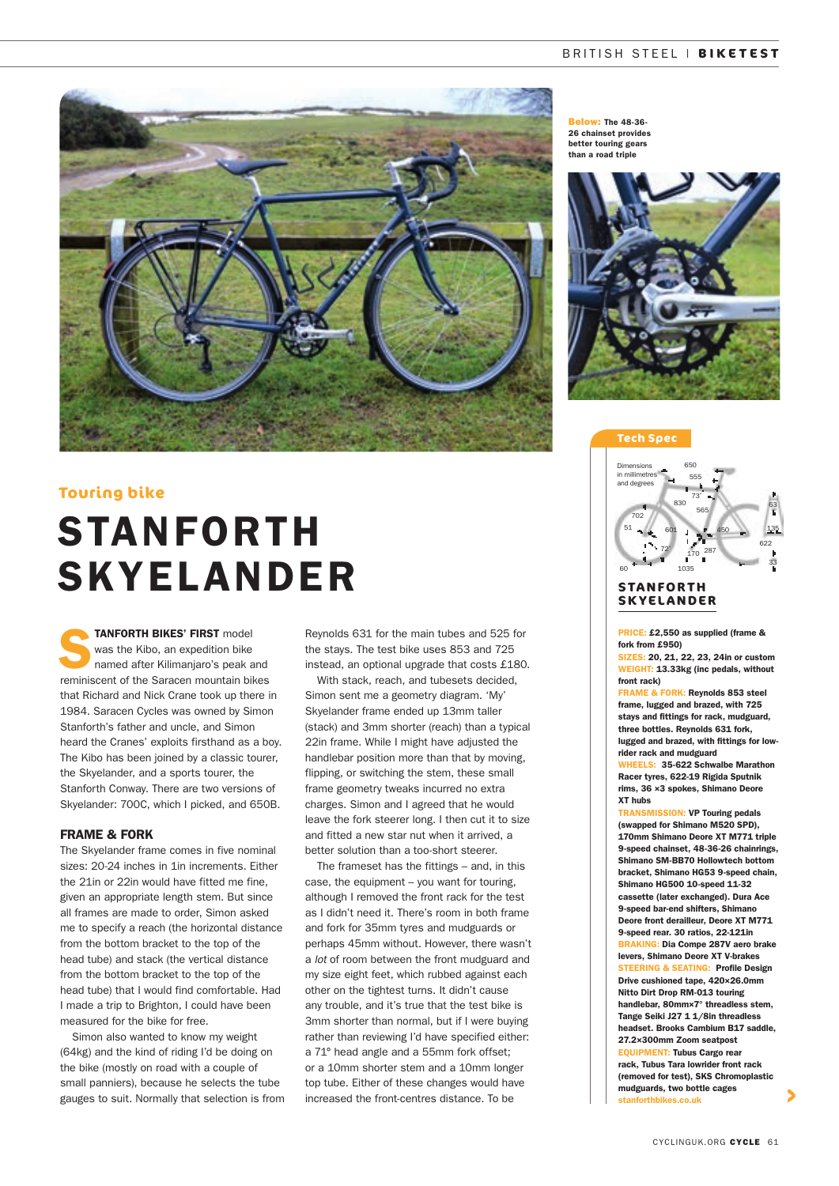

#### **Touring bike**

## STANFORTH SKYELANDER

**TANFORTH BIKES' FIRST** model<br>
was the Kibo, an expedition bike<br>
named after Kilimanjaro's peak and was the Kibo, an expedition bike reminiscent of the Saracen mountain bikes that Richard and Nick Crane took up there in 1984. Saracen Cycles was owned by Simon Stanforth's father and uncle, and Simon heard the Cranes' exploits firsthand as a boy. The Kibo has been joined by a classic tourer, the Skyelander, and a sports tourer, the Stanforth Conway. There are two versions of Skyelander: 700C, which I picked, and 650B.

#### FRAME & FORK

The Skyelander frame comes in five nominal sizes: 20-24 inches in 1in increments. Either the 21in or 22in would have fitted me fine, given an appropriate length stem. But since all frames are made to order, Simon asked me to specify a reach (the horizontal distance from the bottom bracket to the top of the head tube) and stack (the vertical distance from the bottom bracket to the top of the head tube) that I would find comfortable. Had I made a trip to Brighton, I could have been measured for the bike for free.

Simon also wanted to know my weight (64kg) and the kind of riding I'd be doing on the bike (mostly on road with a couple of small panniers), because he selects the tube gauges to suit. Normally that selection is from Reynolds 631 for the main tubes and 525 for the stays. The test bike uses 853 and 725 instead, an optional upgrade that costs £180.

With stack, reach, and tubesets decided, Simon sent me a geometry diagram. 'My' Skyelander frame ended up 13mm taller (stack) and 3mm shorter (reach) than a typical 22in frame. While I might have adjusted the handlebar position more than that by moving, flipping, or switching the stem, these small frame geometry tweaks incurred no extra charges. Simon and I agreed that he would leave the fork steerer long. I then cut it to size and fitted a new star nut when it arrived, a better solution than a too-short steerer.

The frameset has the fittings – and, in this case, the equipment – you want for touring, although I removed the front rack for the test as I didn't need it. There's room in both frame and fork for 35mm tyres and mudguards or perhaps 45mm without. However, there wasn't a *lot* of room between the front mudguard and my size eight feet, which rubbed against each other on the tightest turns. It didn't cause any trouble, and it's true that the test bike is 3mm shorter than normal, but if I were buying rather than reviewing I'd have specified either: a 71° head angle and a 55mm fork offset; or a 10mm shorter stem and a 10mm longer top tube. Either of these changes would have increased the front-centres distance. To be

**Below: The 48-36** 26 chainset provides better touring gears than a road triple



#### **Tech Spec**



#### **S TA N FO R T H SKYELANDER**

PRICE: £2,550 as supplied (frame & fork from £950)

SIZES: 20, 21, 22, 23, 24in or custom WEIGHT: 13.33kg (inc pedals, without front rack)

FRAME & FORK: Reynolds 853 steel frame, lugged and brazed, with 725 stays and fittings for rack, mudguard, three bottles. Reynolds 631 fork, lugged and brazed, with fittings for lowrider rack and mudguard

WHEELS: 35-622 Schwalbe Marathon Racer tyres, 622-19 Rigida Sputnik rims, 36 ×3 spokes, Shimano Deore XT hubs

TRANSMISSION: VP Touring pedals (swapped for Shimano M520 SPD), 170mm Shimano Deore XT M771 triple 9-speed chainset, 48-36-26 chainrings, Shimano SM-BB70 Hollowtech bottom bracket, Shimano HG53 9-speed chain, Shimano HG500 10-speed 11-32 cassette (later exchanged). Dura Ace 9-speed bar-end shifters, Shimano Deore front derailleur, Deore XT M771 9-speed rear. 30 ratios, 22-121in **AKING: Dia Compe 287V aero brake** levers, Shimano Deore XT V-brakes **TEERING & SEATING: Profile Design** Drive cushioned tape, 420×26.0mm Nitto Dirt Drop RM-013 touring handlebar, 80mm×7° threadless stem, Tange Seiki J27 1 1/8in threadless headset. Brooks Cambium B17 saddle, 27.2×300mm Zoom seatpost EQUIPMENT: Tubus Cargo rear rack, Tubus Tara lowrider front rack (removed for test), SKS Chromoplastic mudguards, two bottle cages stanforthbikes.co.uk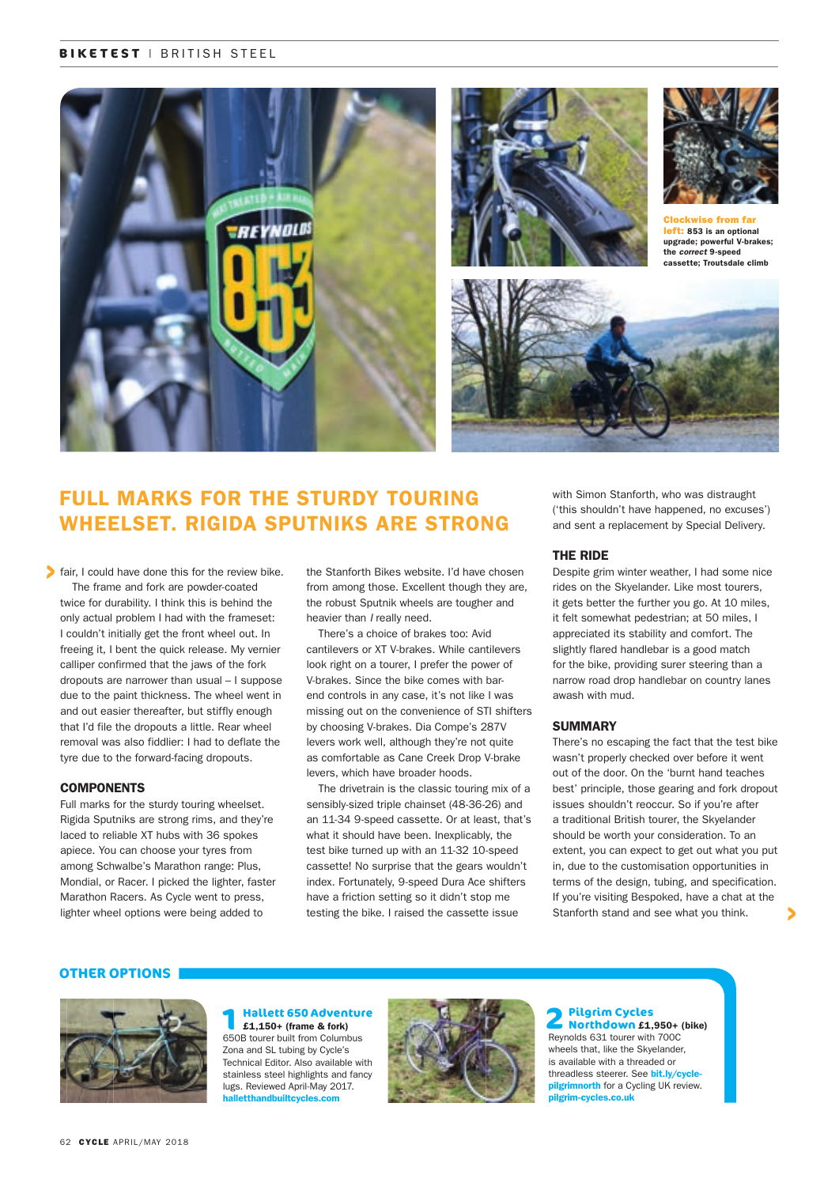#### **BIKETEST** | BRITISH STEEL



## FULL MARKS FOR THE STURDY TOURING WHEELSET. RIGIDA SPUTNIKS ARE STRONG

fair, I could have done this for the review bike. The frame and fork are powder-coated twice for durability. I think this is behind the only actual problem I had with the frameset: I couldn't initially get the front wheel out. In freeing it, I bent the quick release. My vernier calliper confirmed that the jaws of the fork dropouts are narrower than usual – I suppose due to the paint thickness. The wheel went in and out easier thereafter, but stiffly enough that I'd file the dropouts a little. Rear wheel removal was also fiddlier: I had to deflate the tyre due to the forward-facing dropouts.

#### **COMPONENTS**

Full marks for the sturdy touring wheelset. Rigida Sputniks are strong rims, and they're laced to reliable XT hubs with 36 spokes apiece. You can choose your tyres from among Schwalbe's Marathon range: Plus, Mondial, or Racer. I picked the lighter, faster Marathon Racers. As Cycle went to press, lighter wheel options were being added to

the Stanforth Bikes website. I'd have chosen from among those. Excellent though they are, the robust Sputnik wheels are tougher and heavier than *I* really need.

There's a choice of brakes too: Avid cantilevers or XT V-brakes. While cantilevers look right on a tourer, I prefer the power of V-brakes. Since the bike comes with barend controls in any case, it's not like I was missing out on the convenience of STI shifters by choosing V-brakes. Dia Compe's 287V levers work well, although they're not quite as comfortable as Cane Creek Drop V-brake levers, which have broader hoods.

The drivetrain is the classic touring mix of a sensibly-sized triple chainset (48-36-26) and an 11-34 9-speed cassette. Or at least, that's what it should have been. Inexplicably, the test bike turned up with an 11-32 10-speed cassette! No surprise that the gears wouldn't index. Fortunately, 9-speed Dura Ace shifters have a friction setting so it didn't stop me testing the bike. I raised the cassette issue

with Simon Stanforth, who was distraught ('this shouldn't have happened, no excuses') and sent a replacement by Special Delivery.

#### THE RIDE

Despite grim winter weather, I had some nice rides on the Skyelander. Like most tourers, it gets better the further you go. At 10 miles, it felt somewhat pedestrian; at 50 miles, I appreciated its stability and comfort. The slightly flared handlebar is a good match for the bike, providing surer steering than a narrow road drop handlebar on country lanes awash with mud.

#### **SUMMARY**

There's no escaping the fact that the test bike wasn't properly checked over before it went out of the door. On the 'burnt hand teaches best' principle, those gearing and fork dropout issues shouldn't reoccur. So if you're after a traditional British tourer, the Skyelander should be worth your consideration. To an extent, you can expect to get out what you put in, due to the customisation opportunities in terms of the design, tubing, and specification. If you're visiting Bespoked, have a chat at the Stanforth stand and see what you think.

#### **OTHER OPTIONS**



### **1 Hallett 650 Adventure**  £1,150+ (frame & fork) 650B tourer built from Columbus

Zona and SL tubing by Cycle's Technical Editor. Also available with stainless steel highlights and fancy lugs. Reviewed April-May 2017. **<u>letthandbuilt</u>** 



 **2Pilgrim Cycles Northdown** £1,950+ (bike) Reynolds 631 tourer with 700C wheels that, like the Skyelander, is available with a threaded or threadless steerer. See bit.ly/cyclepilgrimnorth for a Cycling UK review. pilgrim-cycles.co.uk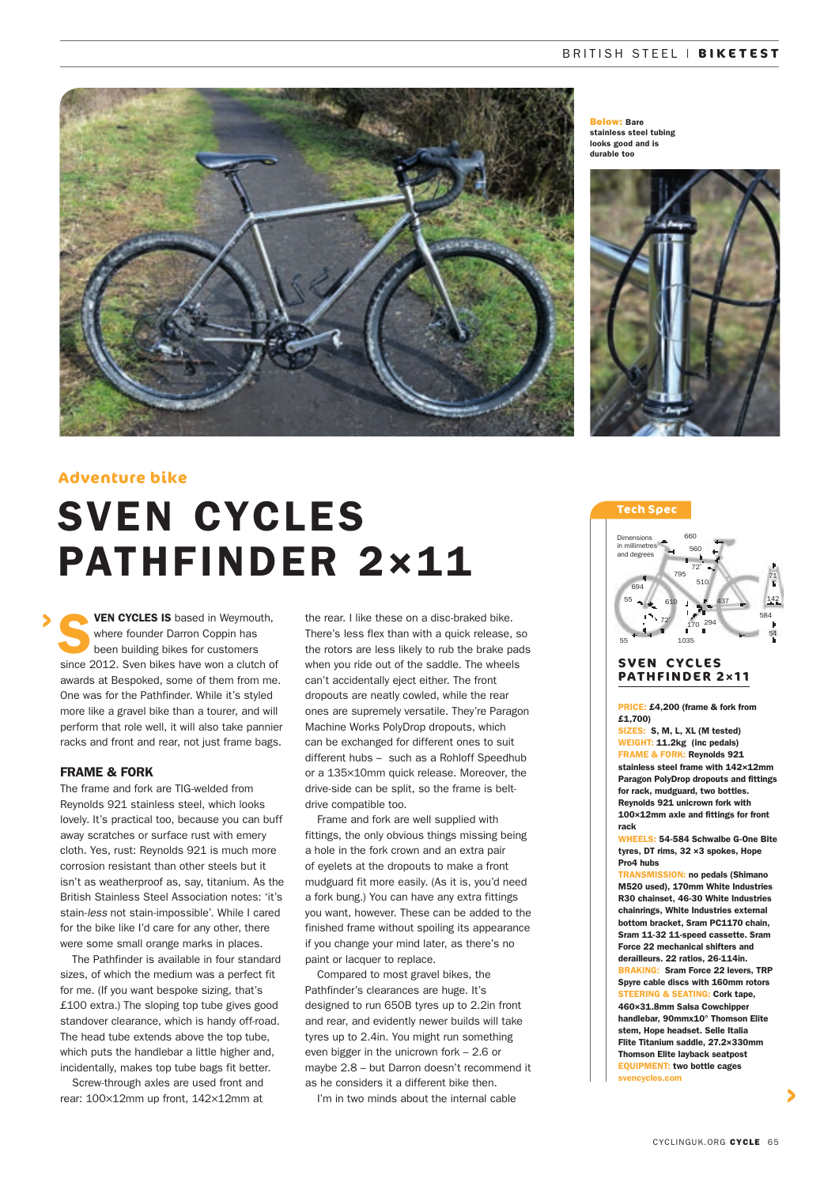

Below: Bare stainless steel tubing looks good and is durable too



#### **Adventure bike**

## SVEN CYCLES PATHFINDER 2×11

VEN CYCLES IS based in Weymouth, where founder Darron Coppin has been building bikes for customers since 2012. Sven bikes have won a clutch of awards at Bespoked, some of them from me. One was for the Pathfinder. While it's styled more like a gravel bike than a tourer, and will perform that role well, it will also take pannier racks and front and rear, not just frame bags.

#### FRAME & FORK

The frame and fork are TIG-welded from Reynolds 921 stainless steel, which looks lovely. It's practical too, because you can buff away scratches or surface rust with emery cloth. Yes, rust: Reynolds 921 is much more corrosion resistant than other steels but it isn't as weatherproof as, say, titanium. As the British Stainless Steel Association notes: 'it's stain-*less* not stain-impossible'. While I cared for the bike like I'd care for any other, there were some small orange marks in places.

The Pathfinder is available in four standard sizes, of which the medium was a perfect fit for me. (If you want bespoke sizing, that's £100 extra.) The sloping top tube gives good standover clearance, which is handy off-road. The head tube extends above the top tube, which puts the handlebar a little higher and, incidentally, makes top tube bags fit better.

Screw-through axles are used front and rear: 100×12mm up front, 142×12mm at

the rear. I like these on a disc-braked bike. There's less flex than with a quick release, so the rotors are less likely to rub the brake pads when you ride out of the saddle. The wheels can't accidentally eject either. The front dropouts are neatly cowled, while the rear ones are supremely versatile. They're Paragon Machine Works PolyDrop dropouts, which can be exchanged for different ones to suit different hubs – such as a Rohloff Speedhub or a 135×10mm quick release. Moreover, the drive-side can be split, so the frame is beltdrive compatible too.

Frame and fork are well supplied with fittings, the only obvious things missing being a hole in the fork crown and an extra pair of eyelets at the dropouts to make a front mudguard fit more easily. (As it is, you'd need a fork bung.) You can have any extra fittings you want, however. These can be added to the finished frame without spoiling its appearance if you change your mind later, as there's no paint or lacquer to replace.

Compared to most gravel bikes, the Pathfinder's clearances are huge. It's designed to run 650B tyres up to 2.2in front and rear, and evidently newer builds will take tyres up to 2.4in. You might run something even bigger in the unicrown fork – 2.6 or maybe 2.8 – but Darron doesn't recommend it as he considers it a different bike then.

I'm in two minds about the internal cable

#### **Tech Spec**



#### **SVEN CYCLES PATHFINDER 2**×**11**

PRICE: £4,200 (frame & fork from £1,700)

SIZES: S, M, L, XL (M tested) WEIGHT: 11.2kg (inc pedals) FRAME & FORK: Reynolds 921 stainless steel frame with 142×12mm Paragon PolyDrop dropouts and fittings for rack, mudguard, two bottles. Reynolds 921 unicrown fork with 100×12mm axle and fittings for front rack

WHEELS: 54-584 Schwalbe G-One Bite tyres, DT rims, 32 ×3 spokes, Hope Pro4 hubs

TRANSMISSION: no pedals (Shimano M520 used), 170mm White Industries R30 chainset, 46-30 White Industries chainrings, White Industries external bottom bracket, Sram PC1170 chain, Sram 11-32 11-speed cassette. Sram Force 22 mechanical shifters and derailleurs. 22 ratios, 26-114in. BRAKING: Sram Force 22 levers, TRP Spyre cable discs with 160mm rotors **RING & SEATING: Cork tape.** 460×31.8mm Salsa Cowchipper handlebar, 90mmx10° Thomson Elite stem, Hope headset. Selle Italia Flite Titanium saddle, 27.2×330mm Thomson Elite layback seatpost EQUIPMENT: two bottle cages svencycles.com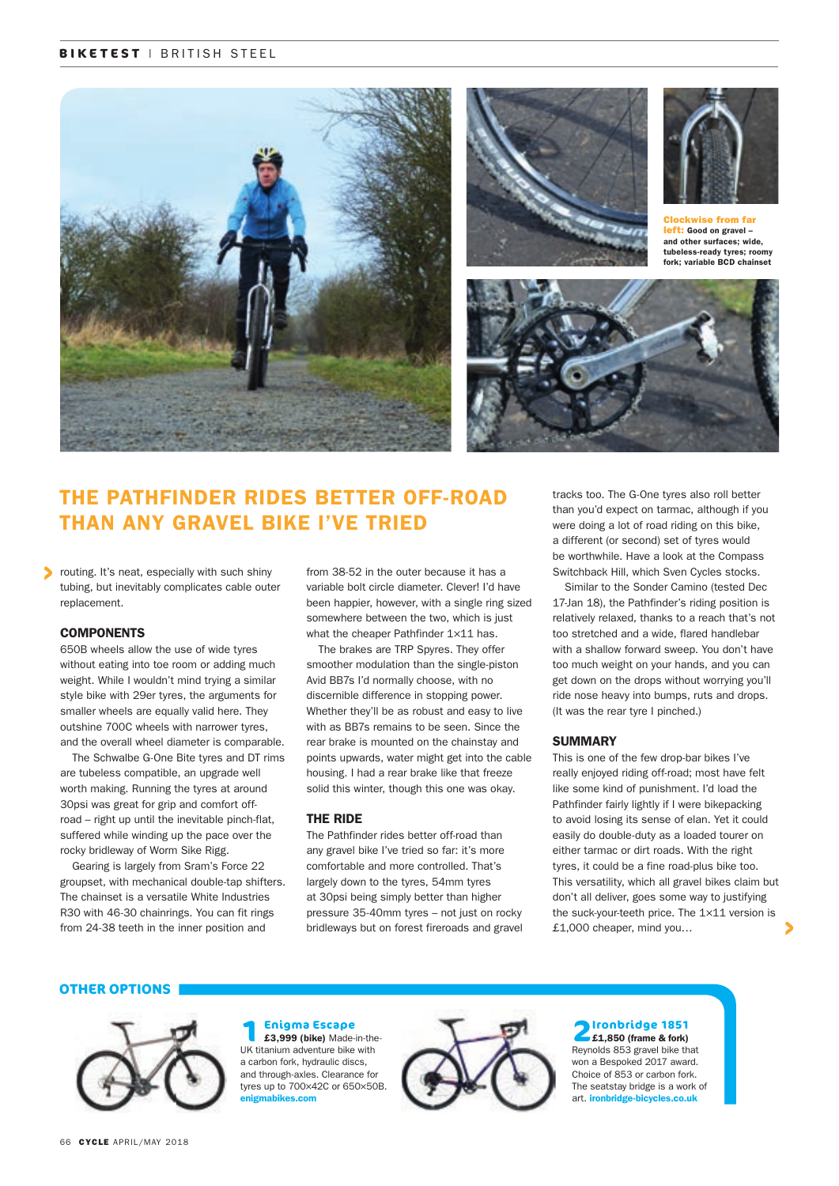#### **BIKETEST** | BRITISH STEEL



## THE PATHFINDER RIDES BETTER OFF-ROAD THAN ANY GRAVEL BIKE I'VE TRIED

routing. It's neat, especially with such shiny tubing, but inevitably complicates cable outer replacement.

#### **COMPONENTS**

650B wheels allow the use of wide tyres without eating into toe room or adding much weight. While I wouldn't mind trying a similar style bike with 29er tyres, the arguments for smaller wheels are equally valid here. They outshine 700C wheels with narrower tyres, and the overall wheel diameter is comparable.

The Schwalbe G-One Bite tyres and DT rims are tubeless compatible, an upgrade well worth making. Running the tyres at around 30psi was great for grip and comfort offroad – right up until the inevitable pinch-flat, suffered while winding up the pace over the rocky bridleway of Worm Sike Rigg.

Gearing is largely from Sram's Force 22 groupset, with mechanical double-tap shifters. The chainset is a versatile White Industries R30 with 46-30 chainrings. You can fit rings from 24-38 teeth in the inner position and

from 38-52 in the outer because it has a variable bolt circle diameter. Clever! I'd have been happier, however, with a single ring sized somewhere between the two, which is just what the cheaper Pathfinder 1×11 has.

The brakes are TRP Spyres. They offer smoother modulation than the single-piston Avid BB7s I'd normally choose, with no discernible difference in stopping power. Whether they'll be as robust and easy to live with as BB7s remains to be seen. Since the rear brake is mounted on the chainstay and points upwards, water might get into the cable housing. I had a rear brake like that freeze solid this winter, though this one was okay.

#### THE RIDE

The Pathfinder rides better off-road than any gravel bike I've tried so far: it's more comfortable and more controlled. That's largely down to the tyres, 54mm tyres at 30psi being simply better than higher pressure 35-40mm tyres – not just on rocky bridleways but on forest fireroads and gravel tracks too. The G-One tyres also roll better than you'd expect on tarmac, although if you were doing a lot of road riding on this bike, a different (or second) set of tyres would be worthwhile. Have a look at the Compass Switchback Hill, which Sven Cycles stocks.

Similar to the Sonder Camino (tested Dec 17-Jan 18), the Pathfinder's riding position is relatively relaxed, thanks to a reach that's not too stretched and a wide, flared handlebar with a shallow forward sweep. You don't have too much weight on your hands, and you can get down on the drops without worrying you'll ride nose heavy into bumps, ruts and drops. (It was the rear tyre I pinched.)

#### **SUMMARY**

This is one of the few drop-bar bikes I've really enjoyed riding off-road; most have felt like some kind of punishment. I'd load the Pathfinder fairly lightly if I were bikepacking to avoid losing its sense of elan. Yet it could easily do double-duty as a loaded tourer on either tarmac or dirt roads. With the right tyres, it could be a fine road-plus bike too. This versatility, which all gravel bikes claim but don't all deliver, goes some way to justifying the suck-your-teeth price. The 1×11 version is £1,000 cheaper, mind you…

#### **OTHER OPTIONS**



#### 66 CYCLE APRIL/MAY 2018

#### **1Enigma Escape**<br> **1E3,999 (bike)** Made-in-the-UK titanium adventure bike with a carbon fork, hydraulic discs, and through-axles. Clearance for tyres up to 700×42C or 650×50B. enigmabikes.com



#### **2 Ironbridge 1851**

£1,850 (frame & fork) Reynolds 853 gravel bike that won a Bespoked 2017 award. Choice of 853 or carbon fork. The seatstay bridge is a work of art. ironbridge-bicycles.co.ul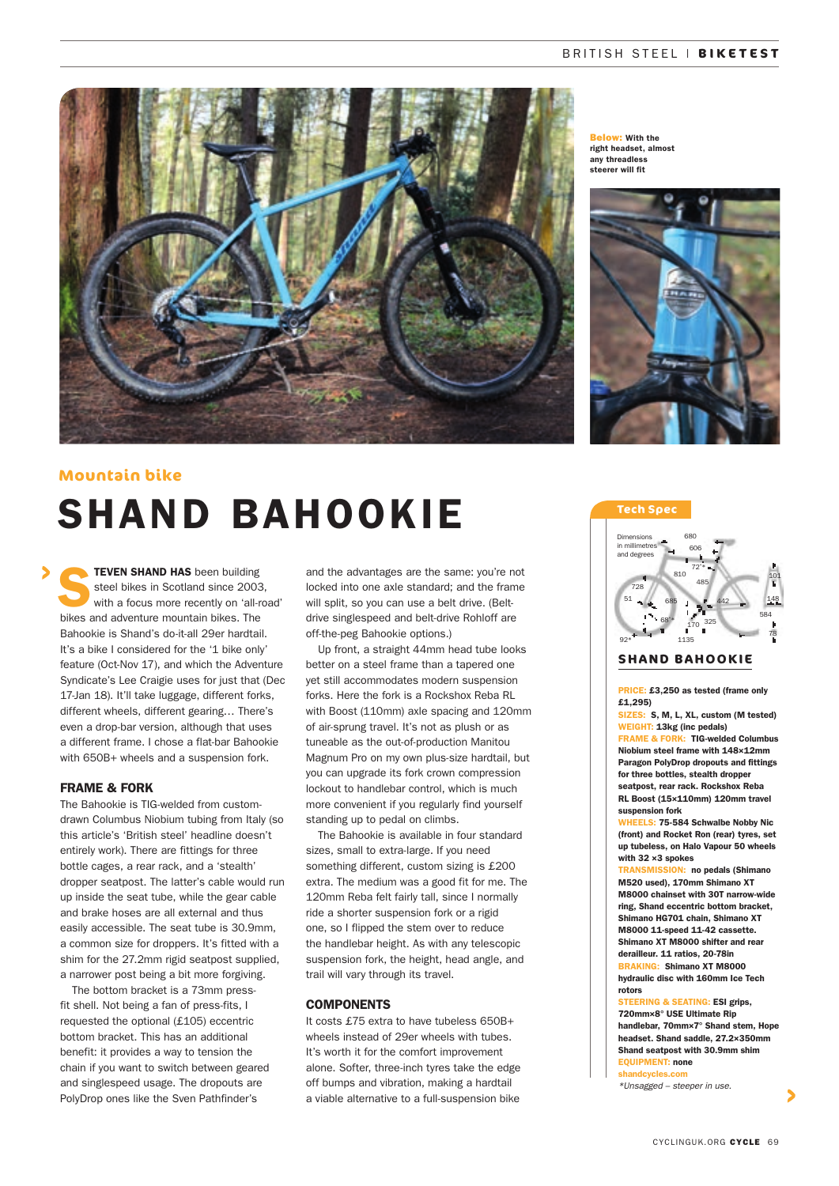

**Below: With the** right headset, almost any threadless steerer will fit



## SHAND BAHOOKIE **Mountain bike**

TEVEN SHAND HAS been building steel bikes in Scotland since 2003, with a focus more recently on 'all-road' bikes and adventure mountain bikes. The Bahookie is Shand's do-it-all 29er hardtail. It's a bike I considered for the '1 bike only' feature (Oct-Nov 17), and which the Adventure Syndicate's Lee Craigie uses for just that (Dec 17-Jan 18). It'll take luggage, different forks, different wheels, different gearing… There's even a drop-bar version, although that uses a different frame. I chose a flat-bar Bahookie with 650B+ wheels and a suspension fork.

#### FRAME & FORK

The Bahookie is TIG-welded from customdrawn Columbus Niobium tubing from Italy (so this article's 'British steel' headline doesn't entirely work). There are fittings for three bottle cages, a rear rack, and a 'stealth' dropper seatpost. The latter's cable would run up inside the seat tube, while the gear cable and brake hoses are all external and thus easily accessible. The seat tube is 30.9mm, a common size for droppers. It's fitted with a shim for the 27.2mm rigid seatpost supplied, a narrower post being a bit more forgiving.

The bottom bracket is a 73mm pressfit shell. Not being a fan of press-fits, I requested the optional (£105) eccentric bottom bracket. This has an additional benefit: it provides a way to tension the chain if you want to switch between geared and singlespeed usage. The dropouts are PolyDrop ones like the Sven Pathfinder's

and the advantages are the same: you're not locked into one axle standard; and the frame will split, so you can use a belt drive. (Beltdrive singlespeed and belt-drive Rohloff are off-the-peg Bahookie options.)

Up front, a straight 44mm head tube looks better on a steel frame than a tapered one yet still accommodates modern suspension forks. Here the fork is a Rockshox Reba RL with Boost (110mm) axle spacing and 120mm of air-sprung travel. It's not as plush or as tuneable as the out-of-production Manitou Magnum Pro on my own plus-size hardtail, but you can upgrade its fork crown compression lockout to handlebar control, which is much more convenient if you regularly find yourself standing up to pedal on climbs.

The Bahookie is available in four standard sizes, small to extra-large. If you need something different, custom sizing is £200 extra. The medium was a good fit for me. The 120mm Reba felt fairly tall, since I normally ride a shorter suspension fork or a rigid one, so I flipped the stem over to reduce the handlebar height. As with any telescopic suspension fork, the height, head angle, and trail will vary through its travel.

#### **COMPONENTS**

It costs £75 extra to have tubeless 650B+ wheels instead of 29er wheels with tubes. It's worth it for the comfort improvement alone. Softer, three-inch tyres take the edge off bumps and vibration, making a hardtail a viable alternative to a full-suspension bike

#### **Tech Spec**



#### **SHAND BAHOOKIE**

PRICE: £3,250 as tested (frame only £1,295)

SIZES: S, M, L, XL, custom (M tested) WEIGHT: 13kg (inc pedals) FRAME & FORK: TIG-welded Columbus Niobium steel frame with 148×12mm Paragon PolyDrop dropouts and fittings for three bottles, stealth dropper seatpost, rear rack. Rockshox Reba RL Boost (15×110mm) 120mm travel suspension fork

WHEELS: 75-584 Schwalbe Nobby Nic (front) and Rocket Ron (rear) tyres, set up tubeless, on Halo Vapour 50 wheels with 32 ×3 spokes

**N:** no pedals (Shimano M520 used), 170mm Shimano XT M8000 chainset with 30T narrow-wide ring, Shand eccentric bottom bracket, Shimano HG701 chain, Shimano XT M8000 11-speed 11-42 cassette. Shimano XT M8000 shifter and rear

derailleur. 11 ratios, 20-78in BRAKING: Shimano XT M8000

#### hydraulic disc with 160mm Ice Tech rotors

STEERING & SEATING: ESI grips, 720mm×8° USE Ultimate Rip handlebar, 70mm×7° Shand stem, Hope headset. Shand saddle, 27.2×350mm Shand seatpost with 30.9mm shim EQUIPMENT: none

shandcycles *\*Unsagged – steeper in use.*